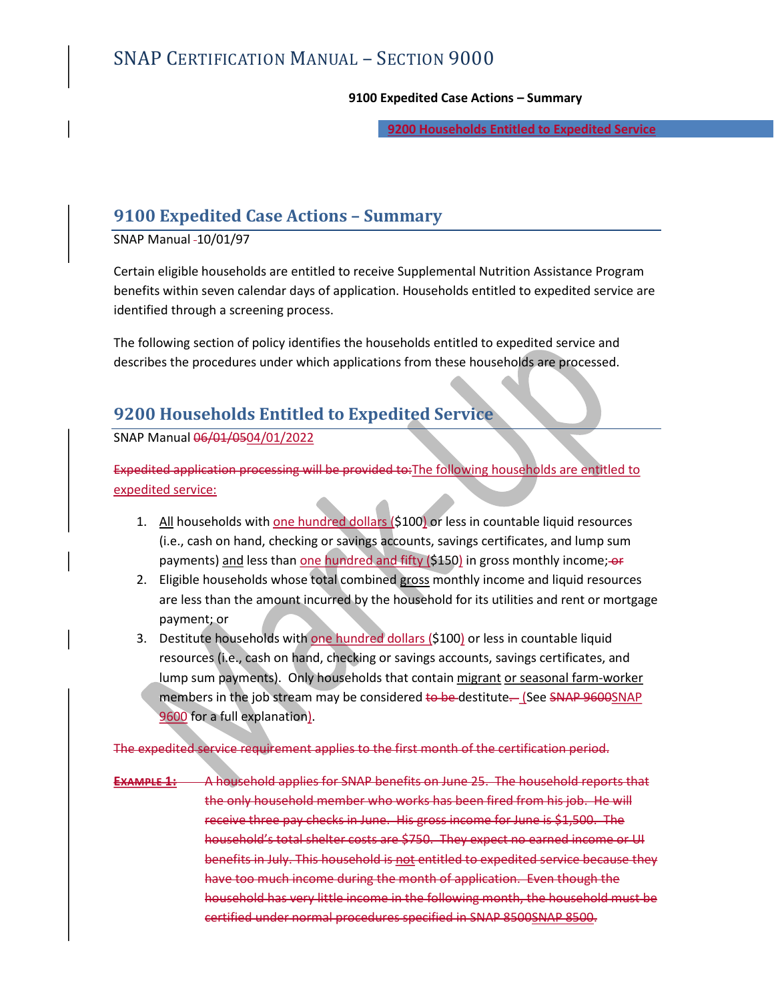9200 Households Entitled to Expedited Service L — SECTION 9000<br>9100 Expedited Case Actions – Summary<br>9200 Households Entitled to Expedited Service

SNAP Manual 10/01/97

SNAP CERTIFICATION MANUAL — SECTION 9000<br>9100 Expedited Case Actions – Summary<br>9200 Households Entitled to Expedited Service<br>9100 Expedited Case Actions – Summary<br>SNAP Manual -10/01/97<br>Certain eligible households are entit Certain eligible households are entitled to receive Supplemental Nutrition Assistance Program benefits within seven calendar days of application. Households entitled to expedited service are identified through a screening process.

The following section of policy identifies the households entitled to expedited service and describes the procedures under which applications from these households are processed.

# 9200 Households Entitled to Expedited Service

SNAP Manual 06/01/0504/01/2022

Expedited application processing will be provided to:The following households are entitled to expedited service:

- 1. All households with one hundred dollars (\$100) or less in countable liquid resources (i.e., cash on hand, checking or savings accounts, savings certificates, and lump sum payments) and less than one hundred and fifty (\$150) in gross monthly income; of
- 2. Eligible households whose total combined gross monthly income and liquid resources are less than the amount incurred by the household for its utilities and rent or mortgage payment; or
- 3. Destitute households with one hundred dollars (\$100) or less in countable liquid resources (i.e., cash on hand, checking or savings accounts, savings certificates, and lump sum payments). Only households that contain migrant or seasonal farm-worker members in the job stream may be considered to be destitute. (See SNAP 9600SNAP

9600 for a full explanation).<br>The expedited service requirement applies to the first month of the certification period.

EXAMPLE 1: A household applies for SNAP benefits on June 25. The household reports that the only household member who works has been fired from his job. He will receive three pay checks in June. His gross income for June is \$1,500. The household's total shelter costs are \$750. They expect no earned income or UI benefits in July. This household is not entitled to expedited service because they have too much income during the month of application. Even though the household has very little income in the following month, the household must be certified under normal procedures specified in SNAP 8500SNAP 8500.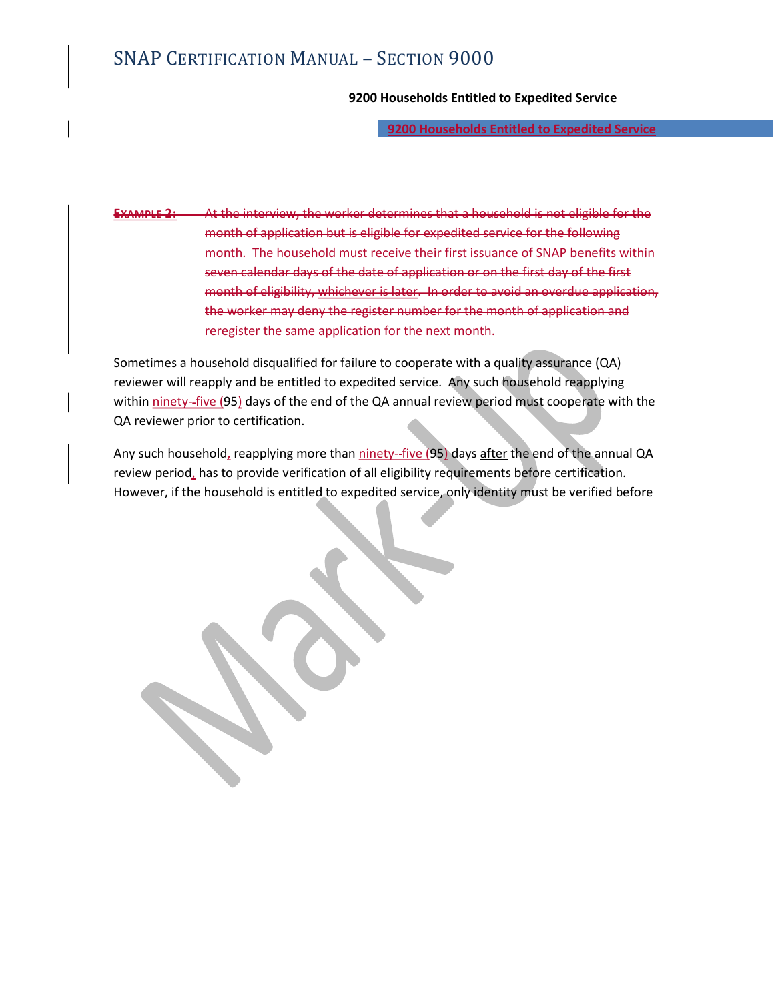# SNAP CERTIFICATION MANUAL – SECTION 9000<br>9200 Households Entitled to Expedited Se<br><u>9200 Households Entitled to Expector</u>

## 9200 Households Entitled to Expedited Service

9200 Households Entitled to Expedited Service

At the interview, the worker determines that a household is not eligible for the month of application but is eligible for expedited service for the following month. The household must receive their first issuance of SNAP benefits within seven calendar days of the date of application or on the first day of the first month of eligibility, whichever is later. In order to avoid an overdue application, the worker may deny the register number for the month of application and reregister the same application for the next month.

Sometimes a household disqualified for failure to cooperate with a quality assurance (QA) reviewer will reapply and be entitled to expedited service. Any such household reapplying within ninety--five (95) days of the end of the QA annual review period must cooperate with the QA reviewer prior to certification.

Any such household, reapplying more than ninety-five (95) days after the end of the annual QA review period, has to provide verification of all eligibility requirements before certification. However, if the household is entitled to expedited service, only identity must be verified before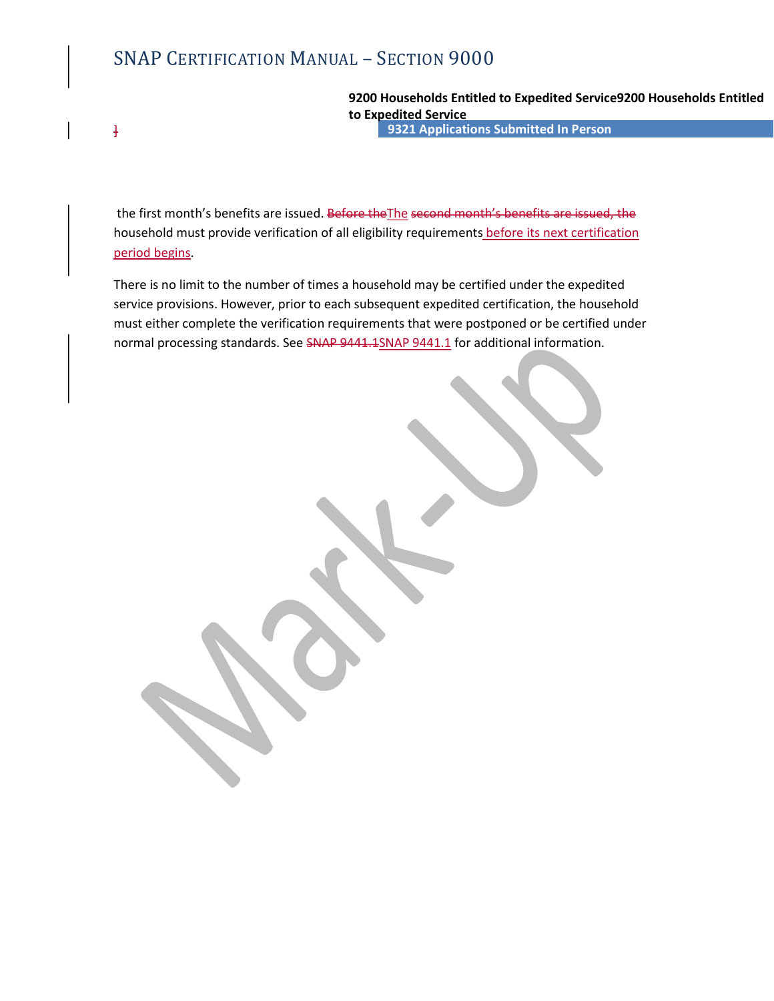SNAP CERTIFICATION MANUAL – SECTION 9000<br>9200 Households Entitled to Expedited Sexedited Service<br>9321 Applications Submitted In Pe ] 9321 Applications Submitted In Person 9200 Households Entitled to Expedited Service9200 Households Entitled to Expedited Service

the first month's benefits are issued. Before theThe second month's benefits are issued, the household must provide verification of all eligibility requirements before its next certification period begins.

There is no limit to the number of times a household may be certified under the expedited service provisions. However, prior to each subsequent expedited certification, the household must either complete the verification requirements that were postponed or be certified under normal processing standards. See SNAP 9441.1SNAP 9441.1 for additional information.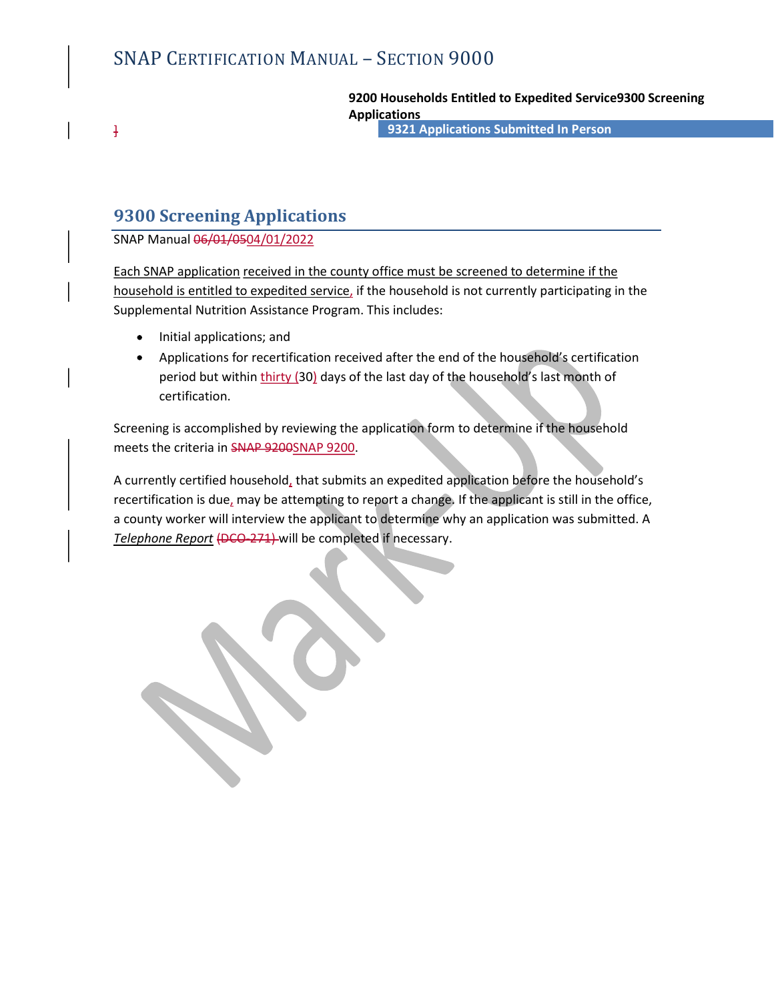9200 Households Entitled to Expedited Service9300 Screening Applications

] 9321 Applications Submitted In Person

# 9300 Screening Applications

SNAP Manual 06/01/0504/01/2022

SNAP CERTIFICATION MANUAL – SECTION 9000<br>
9200 Households Entitled to Expedited Service9300 Screening<br>
4 Applications<br>
9300 Screening Applications<br>
SNAP Manual 06/04/0504/01/2022<br>
Each SNAP application received in the cou household is entitled to expedited service, if the household is not currently participating in the Supplemental Nutrition Assistance Program. This includes:

- Initial applications; and
- Applications for recertification received after the end of the household's certification period but within thirty (30) days of the last day of the household's last month of certification.

Screening is accomplished by reviewing the application form to determine if the household

meets the criteria in SNAP 9200SNAP 9200.<br>A currently certified household, that submits an expedited application before the household's recertification is due, may be attempting to report a change. If the applicant is still in the office, a county worker will interview the applicant to determine why an application was submitted. A Telephone Report (DCO-271) will be completed if necessary.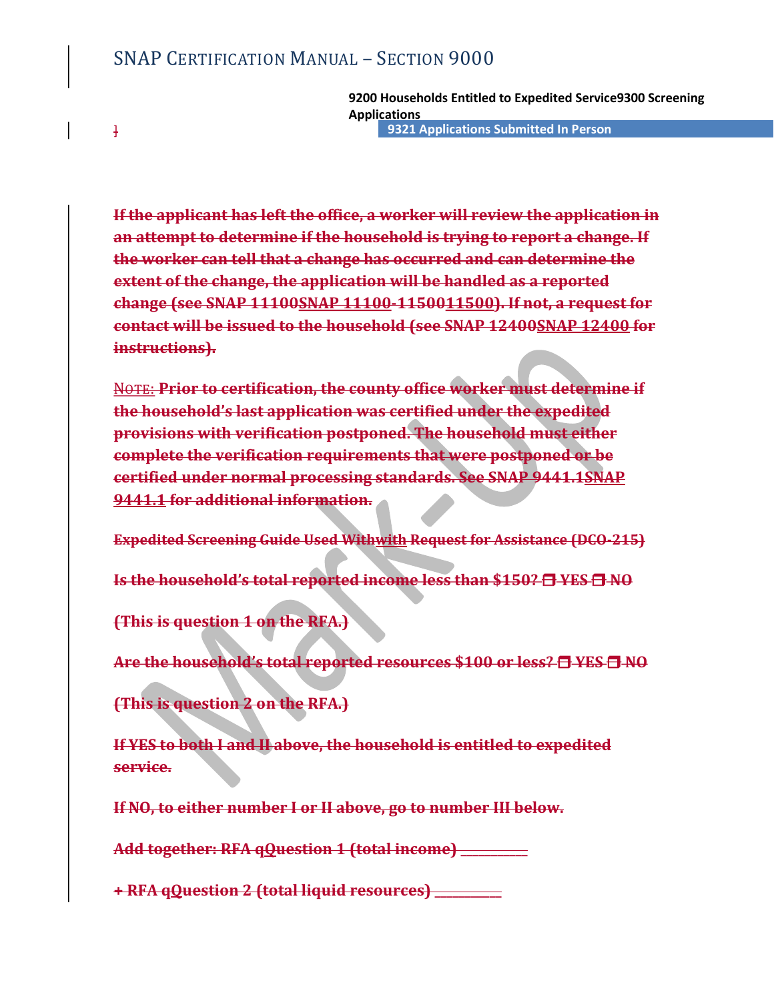SNAP CERTIFICATION MANUAL – SECTION 9000<br>9200 Households Entitled to Expedited Se<br>Applications<br>9321 Applications Submitted In Pe ] 9321 Applications Submitted In Person 9200 Households Entitled to Expedited Service9300 Screening Applications

If the applicant has left the office, a worker will review the application in an attempt to determine if the household is trying to report a change. If the worker can tell that a change has occurred and can determine the extent of the change, the application will be handled as a reported change (see SNAP 11100SNAP 11100-1150011500). If not, a request for SNAP CERTIFICATION MANUAL – SECTION 9000<br>
9200 Households Entitled to Expedited Service9300 Screening<br>
Applications<br>
4 Paplications<br>
4 Paplications<br>
4 Paplications<br>
4 Paplications<br>
4 Paplications<br>
4 Paplications<br>
4 Paplica instructions).

NOTE: Prior to certification, the county office worker must determine if the household's last application was certified under the expedited provisions with verification postponed. The household must either complete the verification requirements that were postponed or be certified under normal processing standards. See SNAP 9441.1SNAP 9441.1 for additional information.

Expedited Screening Guide Used Withwith Request for Assistance (DCO-215)

Is the household's total reported income less than \$150? **E** YES **E** NO

(This is question 1 on the RFA.)

Are the household's total reported resources \$100 or less? **E** YES E NO

(This is question 2 on the RFA.)

If YES to both I and II above, the household is entitled to expedited service.

If NO, to either number I or II above, go to number III below.

Add together: RFA qOuestion 1 (total income) **Add together: RFA** qOuestion 1 (total income)

+ RFA qQuestion 2 (total liquid resources)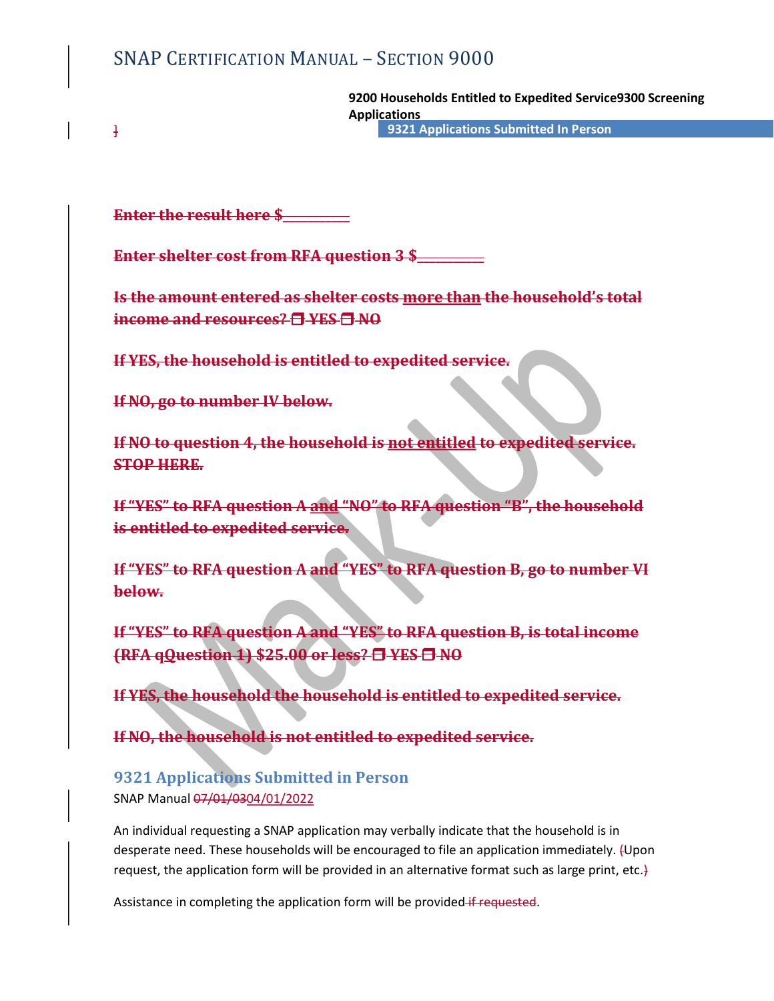SNAP CERTIFICATION MANUAL – SECTION 9000<br>9200 Households Entitled to Expedited Se<br>Applications<br>9321 Applications Submitted In Pe ] 9321 Applications Submitted In Person 9200 Households Entitled to Expedited Service9300 Screening Applications

Enter the result here \$

Enter shelter cost from RFA question 3 \$

SNAP CERTIFICATION MANUAL – SECTION 9000<br>
9200 Households Entitled to Expedited Service9300 Screening<br>
Applications<br>
Finter the result here \$<br>
Enter shelter costs from RFA question 3 \$<br>
Is the amount entered as shelter cos income and resources? **EXES ENO** 

If YES, the household is entitled to expedited service.

If NO, go to number IV below.

If NO to question 4, the household is not entitled to expedited service. STOP HERE.

If "YES" to RFA question A and "NO" to RFA question "B", the household is entitled to expedited service.

If "YES" to RFA question A and "YES" to RFA question B, go to number VI below.

If "YES" to RFA question A and "YES" to RFA question B, is total income (RFA qQuestion 1) \$25.00 or less? E YES E NO

If YES, the household the household is entitled to expedited service.

If NO, the household is not entitled to expedited service.

# 9321 Applications Submitted in Person SNAP Manual 07/01/0304/01/2022

An individual requesting a SNAP application may verbally indicate that the household is in desperate need. These households will be encouraged to file an application immediately. (Upon request, the application form will be provided in an alternative format such as large print, etc.)

Assistance in completing the application form will be provided if requested.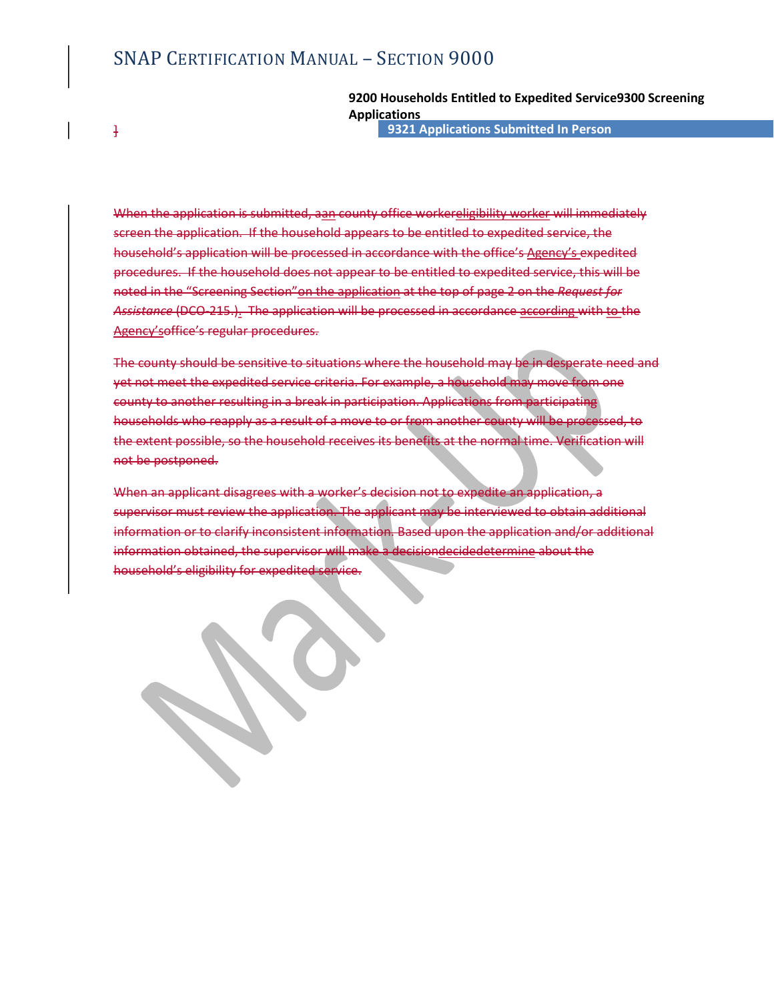# SNAP CERTIFICATION MANUAL – SECTION 9000<br>9200 Households Entitled to Expedited Se<br>Applications<br>9321 Applications Submitted In Pe

# 9200 Households Entitled to Expedited Service9300 Screening Applications

] 9321 Applications Submitted In Person

When the application is submitted, aan county office workereligibility worker will immediately screen the application. If the household appears to be entitled to expedited service, the SNAP CERTIFICATION MANUAL – SECTION 9000<br> **9200 Households Entitled to Expedited Service9300 Screening**<br> **Applications**<br> **Applications**<br> **Applications** Submitted In Person<br>
When the application is submitted, agn county of SNAP CERTIFICATION MANUAL – SECTION 9000<br>
9200 Households Entitled to Expedited Service9300 Screening<br>
Applications<br>
4200 Households Entitled to Expedited In Person<br>
Experiment application. Hen the subsemitted, agan-count noted in the "Screening Section" on the application at the top of page 2 on the Request for Assistance (DCO-215.). The application will be processed in accordance according with to the Agency'soffice's regular procedures.

The county should be sensitive to situations where the household may be in desperate need and yet not meet the expedited service criteria. For example, a household may move from one county to another resulting in a break in participation. Applications from participating households who reapply as a result of a move to or from another county will be proces the extent possible, so the household receives its benefits at the normal time. Verification will not be postponed.

When an applicant disagrees with a worker's decision not to expedite an application, a supervisor must review the application. The applicant may be interviewed to obtain additional information or to clarify inconsistent information. Based upon the application and/or additional information obtained, the supervisor will make a decisiondecidedetermine about the household's eligibility for expedited service.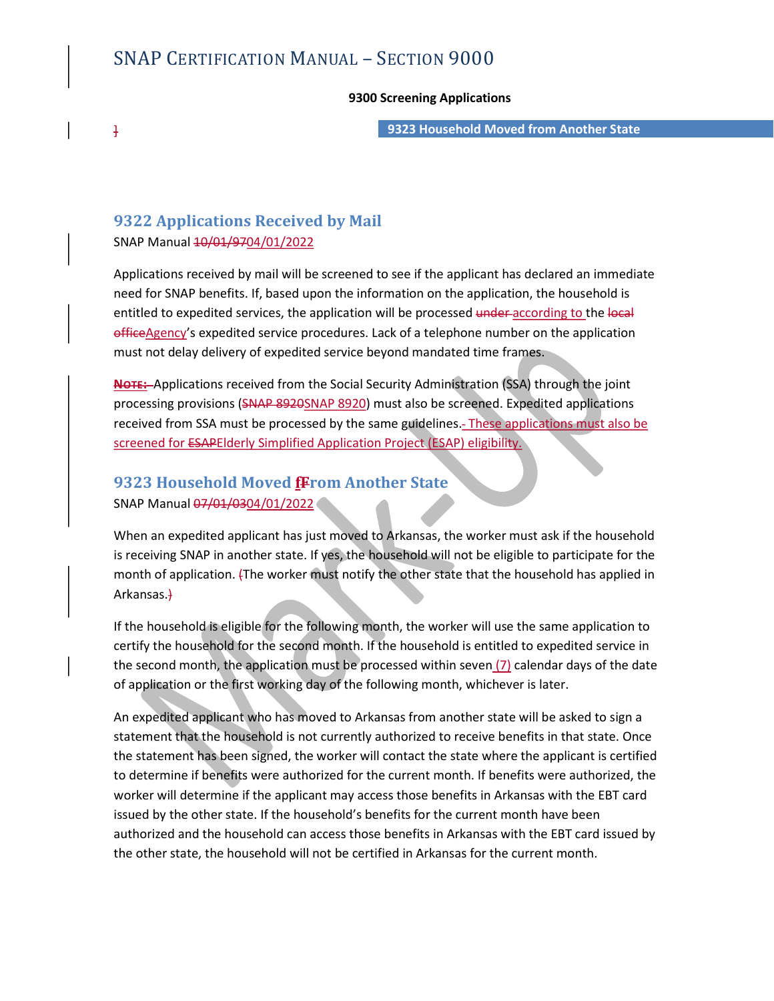# SNAP CERTIFICATION MANUAL – SECTION 9000<br>9300 Screening Applications<br>9323 Household Moved from Anot

## 9300 Screening Applications

] 9323 Household Moved from Another State

# 9322 Applications Received by Mail

SNAP Manual  $\frac{10}{01}/9704}{01}/2022$ 

Applications received by mail will be screened to see if the applicant has declared an immediate need for SNAP benefits. If, based upon the information on the application, the household is entitled to expedited services, the application will be processed under according to the local officeAgency's expedited service procedures. Lack of a telephone number on the application must not delay delivery of expedited service beyond mandated time frames.

NOTE: Applications received from the Social Security Administration (SSA) through the joint processing provisions (SNAP 8920SNAP 8920) must also be screened. Expedited applications received from SSA must be processed by the same guidelines. These applications must also be screened for ESAPElderly Simplified Application Project (ESAP) eligibility.

# 9323 Household Moved fFrom Another State

SNAP Manual 07/01/0304/01/2022<br>When an expedited applicant has just moved to Arkansas, the worker must ask if the household is receiving SNAP in another state. If yes, the household will not be eligible to participate for the month of application. (The worker must notify the other state that the household has applied in Arkansas.)

If the household is eligible for the following month, the worker will use the same application to certify the household for the second month. If the household is entitled to expedited service in the second month, the application must be processed within seven  $(7)$  calendar days of the date of application or the first working day of the following month, whichever is later.

An expedited applicant who has moved to Arkansas from another state will be asked to sign a statement that the household is not currently authorized to receive benefits in that state. Once the statement has been signed, the worker will contact the state where the applicant is certified to determine if benefits were authorized for the current month. If benefits were authorized, the worker will determine if the applicant may access those benefits in Arkansas with the EBT card issued by the other state. If the household's benefits for the current month have been authorized and the household can access those benefits in Arkansas with the EBT card issued by the other state, the household will not be certified in Arkansas for the current month.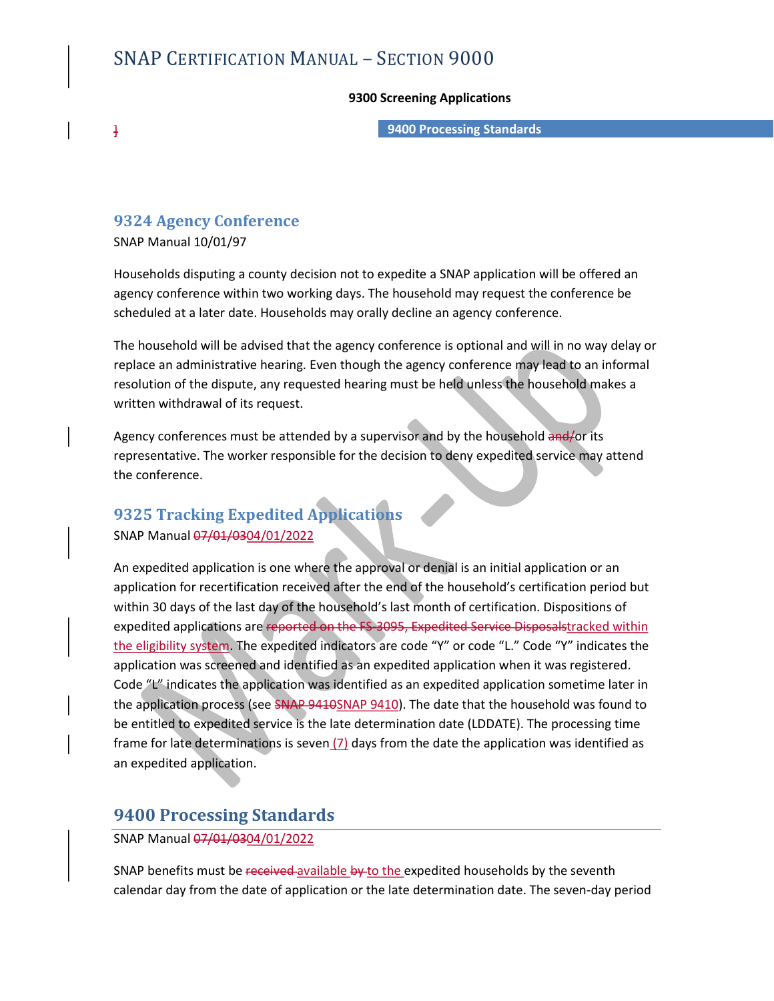# SNAP CERTIFICATION MANUAL – SECTION 9000<br>9300 Screening Applications<br>9400 Processing Standards

## 9300 Screening Applications

] 9400 Processing Standards

# 9324 Agency Conference

SNAP Manual 10/01/97

Households disputing a county decision not to expedite a SNAP application will be offered an agency conference within two working days. The household may request the conference be scheduled at a later date. Households may orally decline an agency conference.

The household will be advised that the agency conference is optional and will in no way delay or replace an administrative hearing. Even though the agency conference may lead to an informal resolution of the dispute, any requested hearing must be held unless the household makes a written withdrawal of its request.

Agency conferences must be attended by a supervisor and by the household and/or its representative. The worker responsible for the decision to deny expedited service may attend the conference.

# 9325 Tracking Expedited Applications SNAP Manual 07/01/0304/01/2022

An expedited application is one where the approval or denial is an initial application or an application for recertification received after the end of the household's certification period but within 30 days of the last day of the household's last month of certification. Dispositions of expedited applications are reported on the FS-3095, Expedited Service Disposalstracked within the eligibility system. The expedited indicators are code "Y" or code "L." Code "Y" indicates the application was screened and identified as an expedited application when it was registered. Code "L" indicates the application was identified as an expedited application sometime later in the application process (see SNAP 9410SNAP 9410). The date that the household was found to be entitled to expedited service is the late determination date (LDDATE). The processing time frame for late determinations is seven  $(7)$  days from the date the application was identified as an expedited application.

# 9400 Processing Standards

SNAP Manual 07/01/0304/01/2022

SNAP benefits must be received available by to the expedited households by the seventh calendar day from the date of application or the late determination date. The seven-day period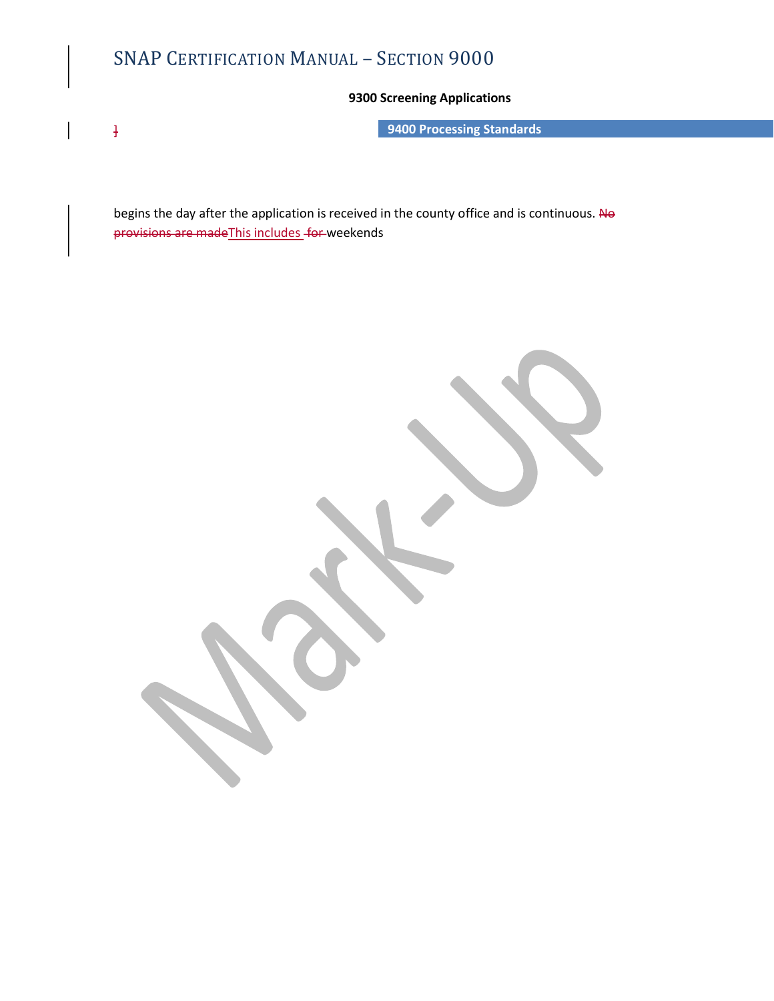# SNAP CERTIFICATION MANUAL – SECTION 9000<br>9300 Screening Applications<br>9400 Processing Standards

# 9300 Screening Applications

**Example 2018** 19400 Processing Standards

begins the day after the application is received in the county office and is continuous. No provisions are made This includes for weekends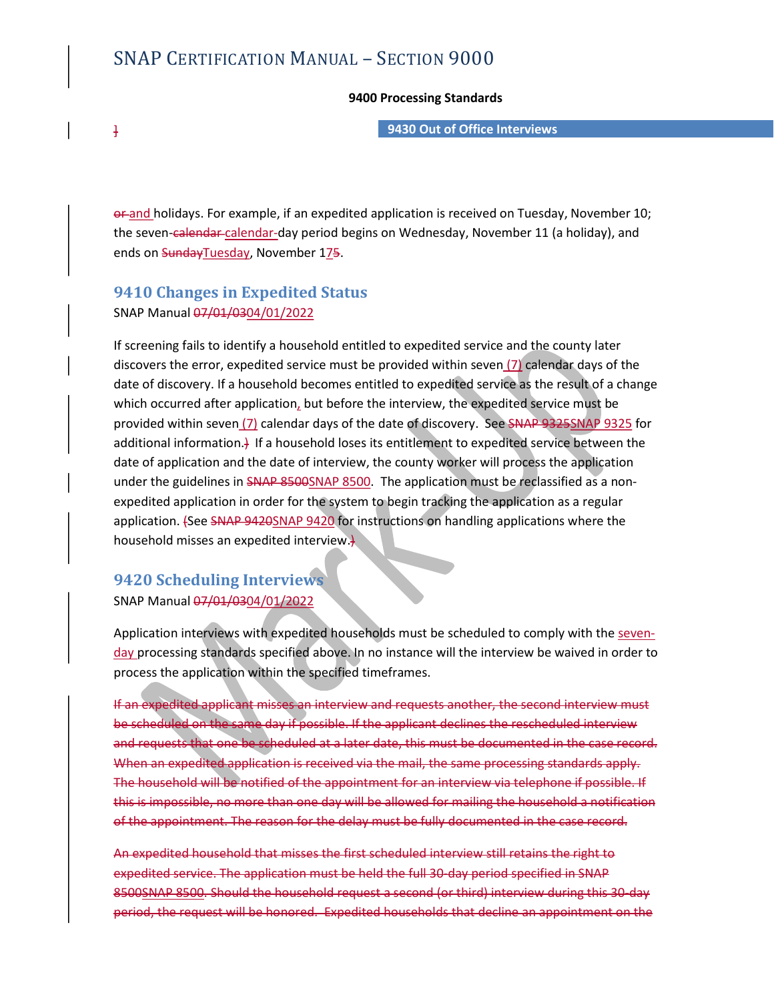## 9400 Processing Standards

] 9430 Out of Office Interviews

or and holidays. For example, if an expedited application is received on Tuesday, November 10; the seven-calendar-calendar-day period begins on Wednesday, November 11 (a holiday), and ends on SundayTuesday, November 175.

# 9410 Changes in Expedited Status SNAP Manual 07/01/0304/01/2022

If screening fails to identify a household entitled to expedited service and the county later discovers the error, expedited service must be provided within seven (7) calendar days of the date of discovery. If a household becomes entitled to expedited service as the result of a change which occurred after application, but before the interview, the expedited service must be provided within seven (7) calendar days of the date of discovery. See SNAP 9325SNAP 9325 for additional information.) If a household loses its entitlement to expedited service between the date of application and the date of interview, the county worker will process the application under the guidelines in SNAP 8500SNAP 8500. The application must be reclassified as a nonexpedited application in order for the system to begin tracking the application as a regular application. (See SNAP 9420SNAP 9420 for instructions on handling applications where the household misses an expedited interview.

# 9420 Scheduling Interviews

SNAP Manual 07/01/0304/01/2022<br>Application interviews with expedited households must be scheduled to comply with the sevenday processing standards specified above. In no instance will the interview be waived in order to process the application within the specified timeframes.

If an expedited applicant misses an interview and requests another, the second interview must be scheduled on the same day if possible. If the applicant declines the rescheduled interview and requests that one be scheduled at a later date, this must be documented in the case record. When an expedited application is received via the mail, the same processing standards apply. The household will be notified of the appointment for an interview via telephone if possible. If this is impossible, no more than one day will be allowed for mailing the household a notification of the appointment. The reason for the delay must be fully documented in the case record.

An expedited household that misses the first scheduled interview still retains the right to expedited service. The application must be held the full 30-day period specified in SNAP 8500SNAP 8500. Should the household request a second (or third) interview during this 30-day period, the request will be honored. Expedited households that decline an appointment on the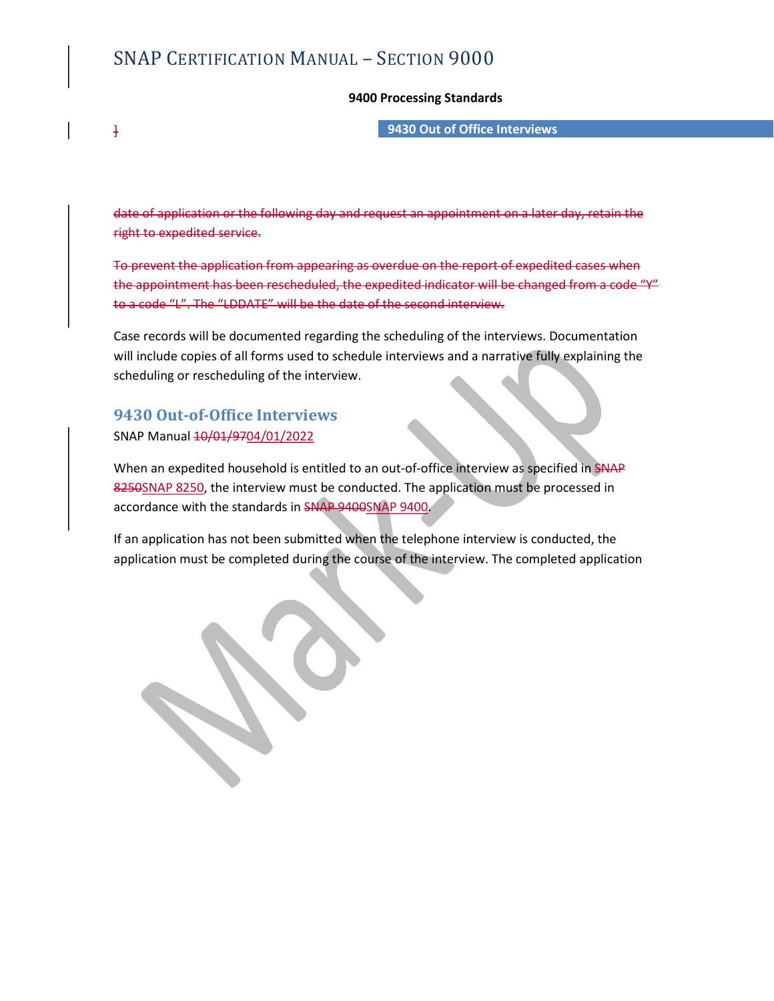# SNAP CERTIFICATION MANUAL – SECTION 9000<br>9400 Processing Standards<br>9430 Out of Office Interviews

## 9400 Processing Standards

# ] 9430 Out of Office Interviews

date of application or the following day and request an appointment on right to expedited service.

To prevent the application from appearing as overdue on the report of expedited cases when the appointment has been rescheduled, the expedited indicator will be changed from a code "Y" to a code "L". The "LDDATE" will be the date of the second interview.

Case records will be documented regarding the scheduling of the interviews. Documentation will include copies of all forms used to schedule interviews and a narrative fully explaining the scheduling or rescheduling of the interview.

# 9430 Out-of-Office Interviews SNAP Manual 10/01/9704/01/2022

When an expedited household is entitled to an out-of-office interview as specified in SNAP 8250SNAP 8250, the interview must be conducted. The application must be processed in accordance with the standards in SNAP 9400SNAP 9400.<br>If an application has not been submitted when the telephone interview is conducted, the

application must be completed during the course of the interview. The completed application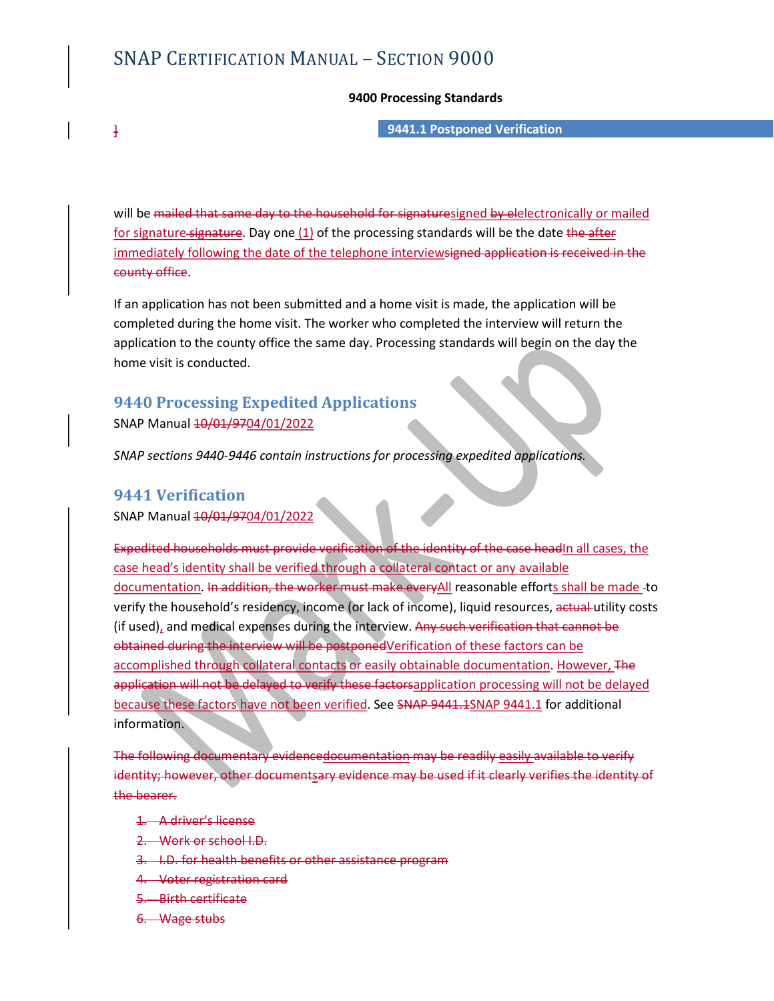# SNAP CERTIFICATION MANUAL – SECTION 9000<br>9400 Processing Standards<br>9441.1 Postponed Verification

## 9400 Processing Standards

] 9441.1 Postponed Verification

will be mailed that same day to the household for signaturesigned by elelectronically or mailed for signature signature. Day one (1) of the processing standards will be the date the after **SNAP CERTIFICATION MANUAL** – SECTION 9000<br> **9400 Processing Standards**<br> **9441.1 Postponed Verification**<br>
will be mailed that same day to the household for signature<u>signed by elelectronically or mailed</u><br>
for signature-si county office.

If an application has not been submitted and a home visit is made, the application will be completed during the home visit. The worker who completed the interview will return the application to the county office the same day. Processing standards will begin on the day the home visit is conducted.

# 9440 Processing Expedited Applications SNAP Manual 40/01/9704/01/2022

SNAP sections 9440-9446 contain instructions for processing expedited applications.

# 9441 Verification

SNAP Manual 40/01/9704/01/2022

Expedited households must provide verification of the identity of the case headIn all cases, the case head's identity shall be verified through a collateral contact or any available documentation. In addition, the worker must make everyAll reasonable efforts shall be made-to verify the household's residency, income (or lack of income), liquid resources, actual utility costs (if used), and medical expenses during the interview. Any such verification that cannot be obtained during the interview will be postponedVerification of these factors can be accomplished through collateral contacts or easily obtainable documentation. However, The application will not be delayed to verify these factorsapplication processing will not be delayed because these factors have not been verified. See SNAP 9441.1SNAP 9441.1 for additional information. delited households must provide verification of the identity of the case head[n] all cases, the<br>head's identity shall be verified through a collateral contact or any available<br>martation. In addition, the worker must make e

The following documentary evidencedocumentation may be readily easily available to verify identity; however, other documentsary evidence may be used if it clearly verifies the identity of the bearer.

- 1. A driver's license
- 2. Work or school I.D.
- 
- 4. Voter registration card
- 5. Birth certificate
- 6. Wage stubs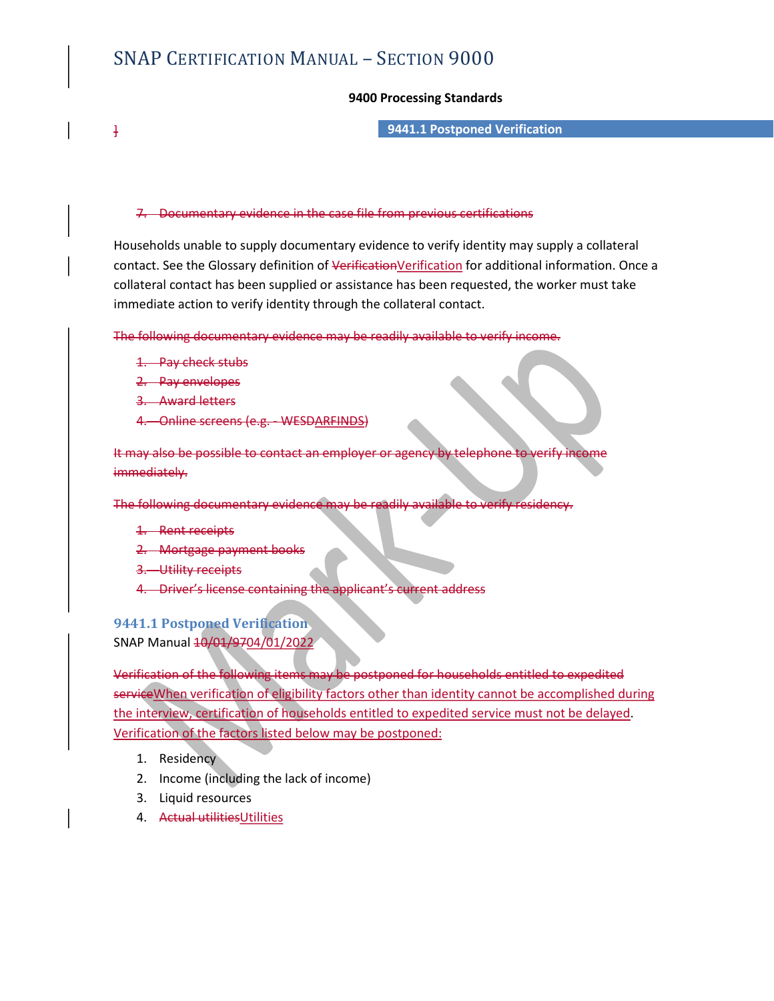## 9400 Processing Standards

] 9441.1 Postponed Verification

## 7. Documentary evidence in the case file from previous certifications

Households unable to supply documentary evidence to verify identity may supply a collateral contact. See the Glossary definition of VerificationVerification for additional information. Once a collateral contact has been supplied or assistance has been requested, the worker must take immediate action to verify identity through the collateral contact. 9400 Processing Standards<br>
9400 Processing Standards<br>
9441.1 Postponed Verification<br>
7. Documentary evidence in the case file from previous certifications<br>
seholds unable to supply documentary evidence to verify identity m

The following documentary evidence may be readily available to verify income.

- 1. Pay check stubs
- 2. Pay envelopes
- 
- 4. Online screens (e.g. WESDARFINDS)

It may also be possible to contact an employer or agency by telephone to verify income immediately.

The following documentary evidence may be readily available to

- 1. Rent receipts
- 2. Mortgage payment books
- 3. Utility receipts
- 4. Driver's license containing the applicant's current address

# 9441.1 Postponed Verification SNAP Manual 10/01/9704/01/2022

Verification of the following items may be postponed for households entitled to expedited service When verification of eligibility factors other than identity cannot be accomplished during the interview, certification of households entitled to expedited service must not be delayed.<br>Verification of the factors listed below may be postponed:

- 1. Residency
- 2. Income (including the lack of income)
- 3. Liquid resources
- 4. Actual utilitiesUtilities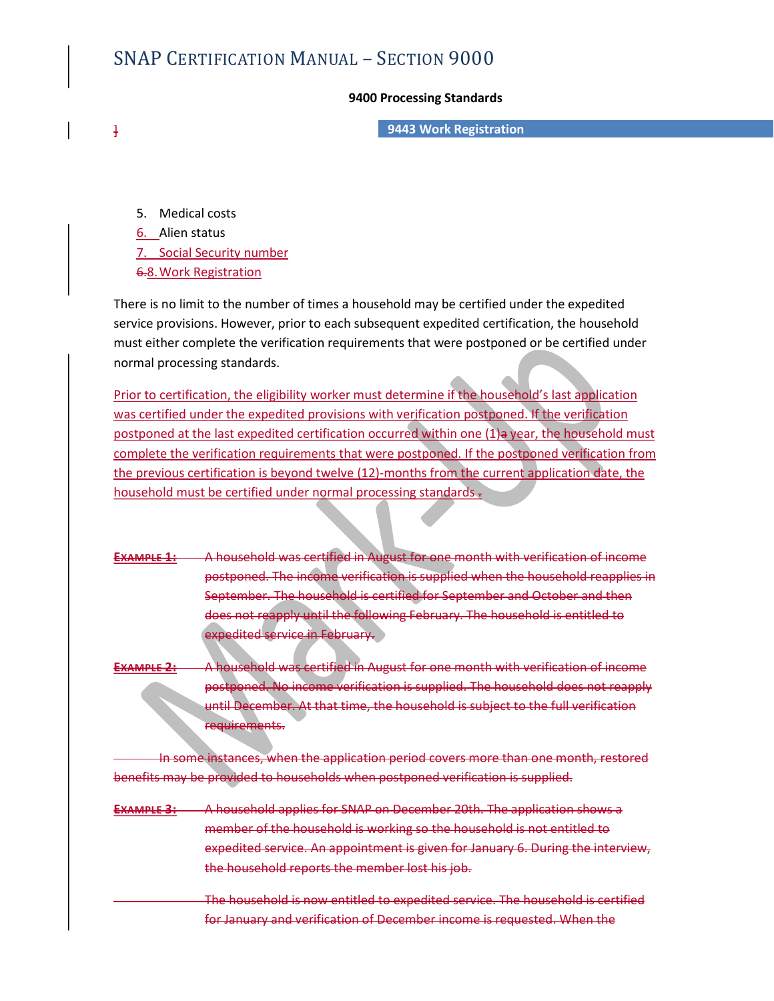# SNAP CERTIFICATION MANUAL – SECTION 9000<br>9400 Processing Standards<br>9443 Work Registration

## 9400 Processing Standards

] 9443 Work Registration

5. Medical costs

6. Alien status

6.8.Work Registration

4.4 CERTIFICATION MANUAL – SECTION 9000<br>
9400 Processing Standards<br>
9443 Work Registration<br>
5. Medical costs<br>
6. Alien status<br>
7. Social Security number<br>
6.8. Work Registration<br>
7. Social Security number<br>
6.8. Work Registr There is no limit to the number of times a household may be certified under the expedited service provisions. However, prior to each subsequent expedited certification, the household must either complete the verification requirements that were postponed or be certified under normal processing standards.

Prior to certification, the eligibility worker must determine if the household's last application was certified under the expedited provisions with verification postponed. If the verification postponed at the last expedited certification occurred within one (1)a year, the household must complete the verification requirements that were postponed. If the postponed verification from the previous certification is beyond twelve (12)-months from the current application date, the household must be certified under normal processing standards =

EXAMPLE 1: A household was certified in August for one month with verification of income postponed. The income verification is supplied when the household reapplies in September. The household is certified for September and October and then does not reapply until the following February. The household is entitled to expedited service in February.

EXAMPLE 2: A household was certified in August for one month with verification of income postponed. No income verification is supplied. The household does not reapply until December. At that time, the household is subject to the full verification requirements.

e instances, when the application period covers more than one month, restored benefits may be provided to households when postponed verification is supplied.

- **EXAMPLE 3:** A household applies for SNAP on December 20th. The application shows a member of the household is working so the household is not entitled to expedited service. An appointment is given for January 6. During the interview, the household reports the member lost his job.
	- The household is now entitled to expedited service. The household is certified for January and verification of December income is requested. When the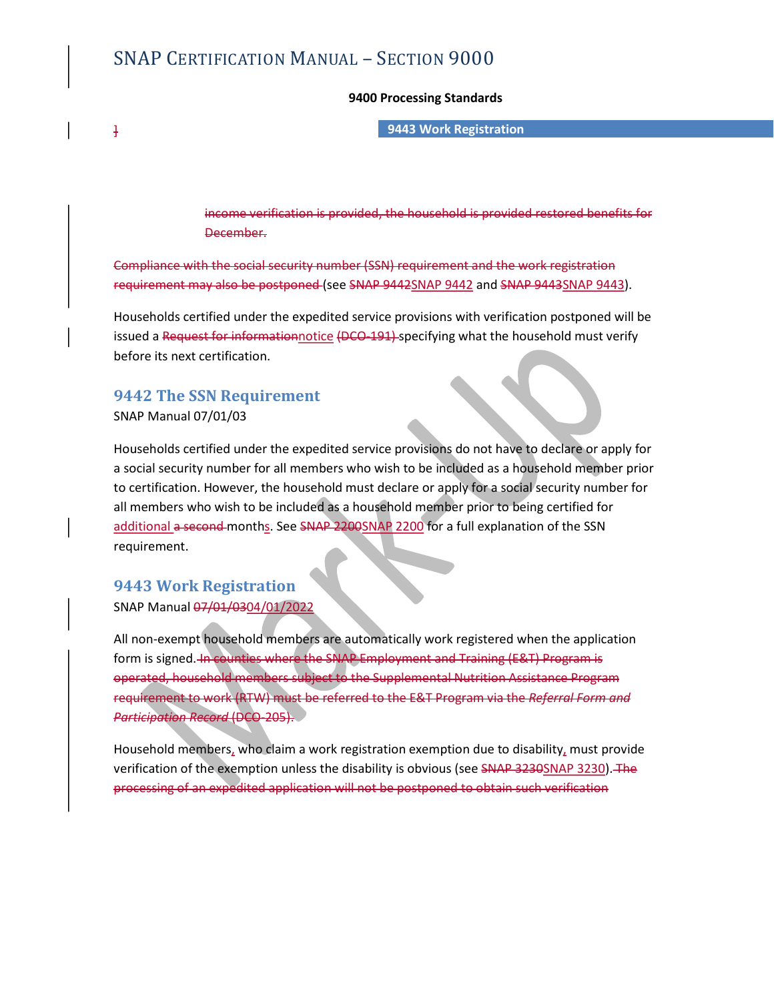# SNAP CERTIFICATION MANUAL – SECTION 9000<br>9400 Processing Standards<br>9443 Work Registration

## 9400 Processing Standards

# ] 9443 Work Registration

income verification is provided, the household is provided restored benefits for December.

Compliance with the social security number (SSN) requirement and the work registration requirement may also be postponed (see SNAP 9442SNAP 9442 and SNAP 9443SNAP 9443).

Households certified under the expedited service provisions with verification postponed will be issued a Request for informationnotice (DCO-191) specifying what the household must verify before its next certification.

# 9442 The SSN Requirement

SNAP Manual 07/01/03

Households certified under the expedited service provisions do not have to declare or apply for a social security number for all members who wish to be included as a household member prior to certification. However, the household must declare or apply for a social security number for all members who wish to be included as a household member prior to being certified for additional a second months. See SNAP 2200SNAP 2200 for a full explanation of the SSN requirement.

# 9443 Work Registration

SNAP Manual 07/01/0304/01/2022<br>All non-exempt household members are automatically work registered when the application form is signed. In counties where the SNAP Employment and Training (E&T) Program is operated, household members subject to the Supplemental Nutrition Assistance Program requirement to work (RTW) must be referred to the E&T Program via the Referral Form and Participation Record (DCO-205).

Household members, who claim a work registration exemption due to disability, must provide verification of the exemption unless the disability is obvious (see SNAP 3230SNAP 3230). The processing of an expedited application will not be postponed to obtain such verification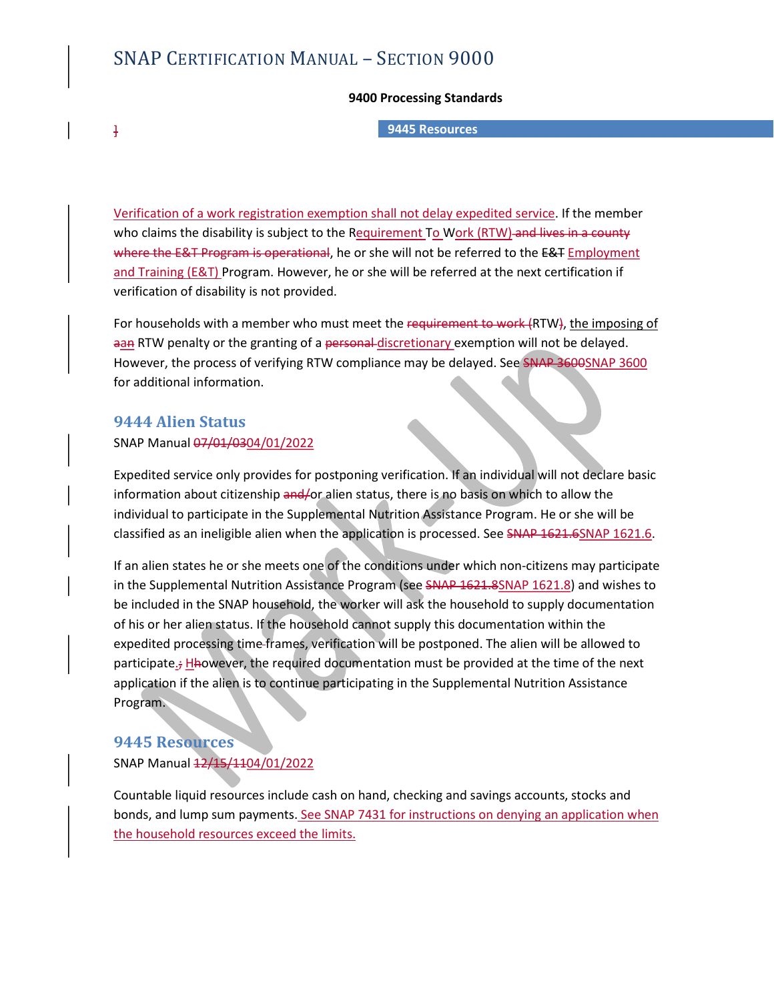# SNAP CERTIFICATION MANUAL – SECTION 9000<br>9400 Processing Standards<br>9445 Resources

## 9400 Processing Standards

# ] 9445 Resources

Verification of a work registration exemption shall not delay expedited service. If the member who claims the disability is subject to the Requirement To Work (RTW)-and lives in a county where the E&T Program is operational, he or she will not be referred to the E&T Employment and Training (E&T) Program. However, he or she will be referred at the next certification if verification of disability is not provided.

For households with a member who must meet the requirement to work (RTW), the imposing of aan RTW penalty or the granting of a personal-discretionary exemption will not be delayed. However, the process of verifying RTW compliance may be delayed. See SNAP 3600SNAP 3600 for additional information.

# 9444 Alien Status

## SNAP Manual 07/01/0304/01/2022

Expedited service only provides for postponing verification. If an individual will not declare basic information about citizenship and/or alien status, there is no basis on which to allow the individual to participate in the Supplemental Nutrition Assistance Program. He or she will be classified as an ineligible alien when the application is processed. See SNAP 1621.6SNAP 1621.6.<br>If an alien states he or she meets one of the conditions under which non-citizens may participate

in the Supplemental Nutrition Assistance Program (see SNAP 1621.8SNAP 1621.8) and wishes to be included in the SNAP household, the worker will ask the household to supply documentation of his or her alien status. If the household cannot supply this documentation within the expedited processing time frames, verification will be postponed. The alien will be allowed to participate.; Hhowever, the required documentation must be provided at the time of the next application if the alien is to continue participating in the Supplemental Nutrition Assistance Program.

# 9445 Resources SNAP Manual  $\frac{12}{15}$ /1104/01/2022

Countable liquid resources include cash on hand, checking and savings accounts, stocks and bonds, and lump sum payments. See SNAP 7431 for instructions on denying an application when the household resources exceed the limits.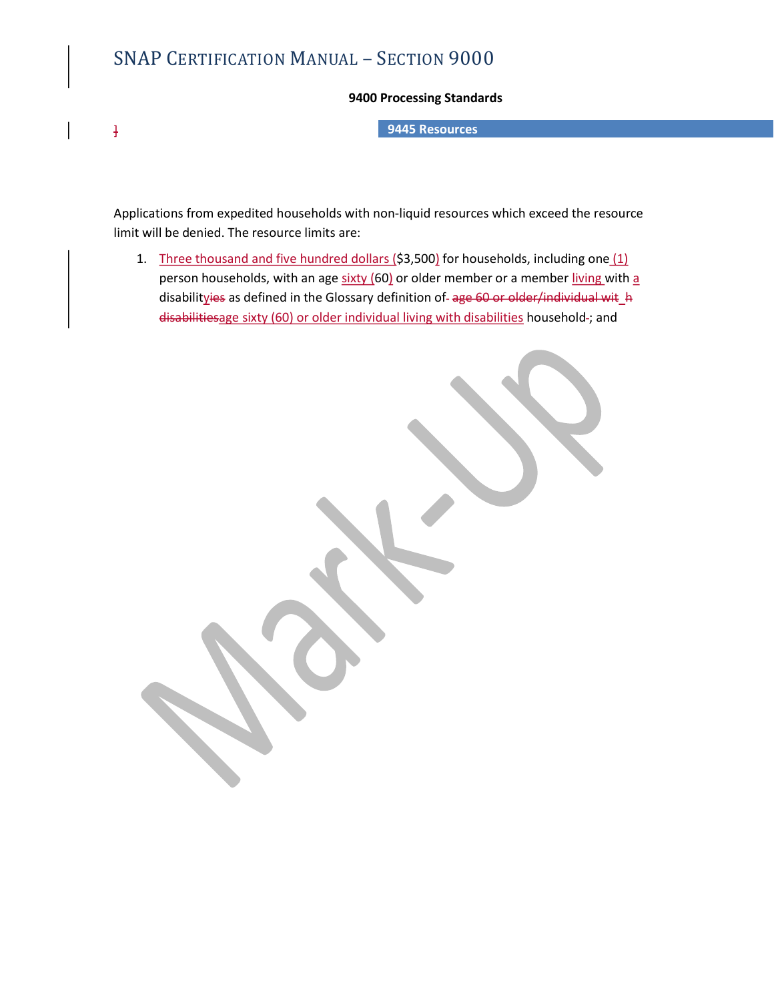# SNAP CERTIFICATION MANUAL – SECTION 9000<br>9400 Processing Standards<br>9445 Resources

# 9400 Processing Standards

] 9445 Resources

Applications from expedited households with non-liquid resources which exceed the resource limit will be denied. The resource limits are:

1. Three thousand and five hundred dollars (\$3,500) for households, including one  $(1)$ person households, with an age sixty (60) or older member or a member living with a disabilityies as defined in the Glossary definition of-age 60 or older/individual wit\_h **CERTIFICATION MANUAL – SECTION 9000**<br> **9400 Processing Standards**<br> **9445 Resources**<br> **1945 Resources**<br> **1945 Resources**<br> **1945 Resources**<br> **1945 Resources**<br> **1945 Depromand And five hundred dollars** (53,500) for househol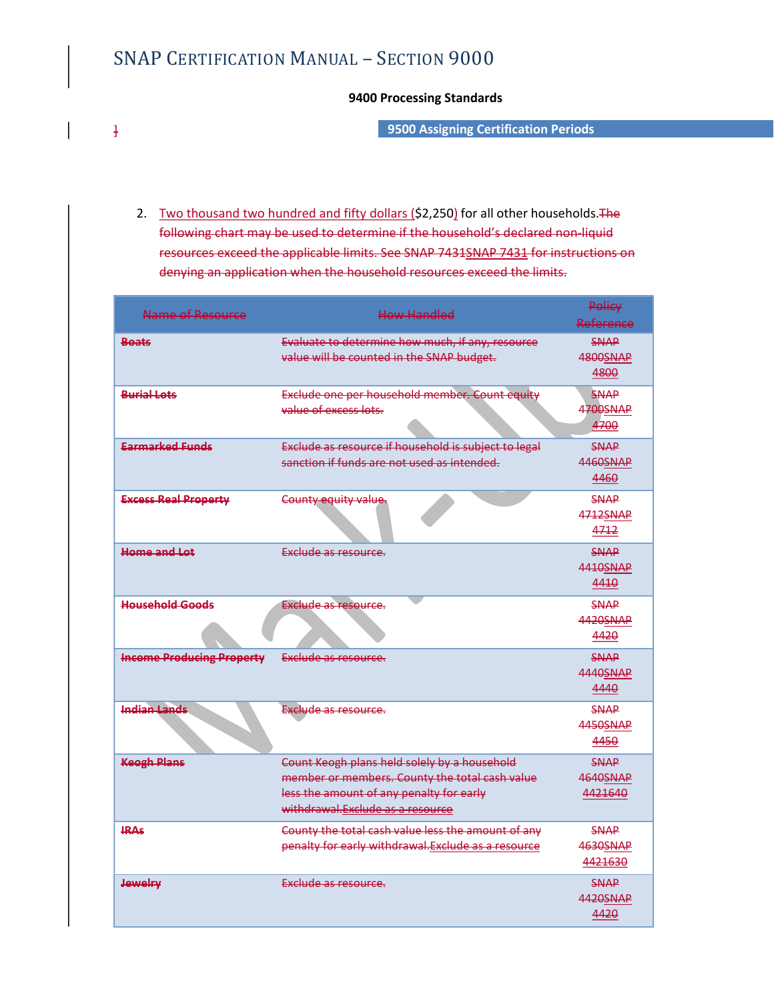# SNAP CERTIFICATION MANUAL – SECTION 9000<br>9400 Processing Standards<br>9500 Assigning Certification Period

# 9400 Processing Standards

] 9500 Assigning Certification Periods

2. Two thousand two hundred and fifty dollars (\$2,250) for all other households. The following chart may be used to determine if the household's declared non-liquid **PERTIFICATION MANUAL – SECTION 9000**<br> **9400 Processing Standards**<br> **9500 Assigning Certification Periods**<br> **19500 Assigning Certification Periods**<br> **19500 Assigning Certification Periods**<br> **19500 Assigning Certification** denying an application when the household resources exceed the limits.

| Name of Resource                 | <b>How Handled</b>                                                                                                                                                             | <b>Policy</b><br>Reference             |
|----------------------------------|--------------------------------------------------------------------------------------------------------------------------------------------------------------------------------|----------------------------------------|
| <b>Beats</b>                     | Evaluate to determine how much, if any, resource<br>value will be counted in the SNAP budget.                                                                                  | SNAP<br><b>4800SNAP</b><br>4800        |
| <b>Rurial Lots</b>               | Exclude one per household member. Count equity<br>value of excess lots.                                                                                                        | <b>SNAP</b><br><b>4700SNAP</b><br>4700 |
| <b>Earmarked Funds</b>           | Exclude as resource if household is subject to legal<br>sanction if funds are not used as intended.                                                                            | SNAP<br>4460SNAP<br>4460               |
| <b>Excess Real Property</b>      | County equity value.                                                                                                                                                           | <b>SNAP</b><br>4712SNAP<br>4712        |
| <b>Home and Lot</b>              | Exclude as resource.                                                                                                                                                           | <b>SNAP</b><br>4410SNAP<br>4410        |
| <b>Household Goods</b>           | Exclude as resource.                                                                                                                                                           | SNAP<br>4420SNAP<br>4420               |
| <b>Income Producing Property</b> | Exclude as resource.                                                                                                                                                           | SNAP<br>4440SNAP<br>4440               |
| <b>Indian Lands</b>              | Exclude as resource.                                                                                                                                                           | SNAP<br>4450SNAP<br>4450               |
| <b>Keegh Plans</b>               | Count Keogh plans held solely by a household<br>member or members. County the total cash value<br>less the amount of any penalty for early<br>withdrawal.Exclude as a resource | <b>SNAP</b><br>4640SNAP<br>4421640     |
| <b>IRAs</b>                      | County the total cash value less the amount of any<br>penalty for early withdrawal. Exclude as a resource                                                                      | <b>SNAP</b><br>4630SNAP<br>4421630     |
| <b>Jewelry</b>                   | Exclude as resource.                                                                                                                                                           | <b>SNAP</b><br>4420SNAP<br>4420        |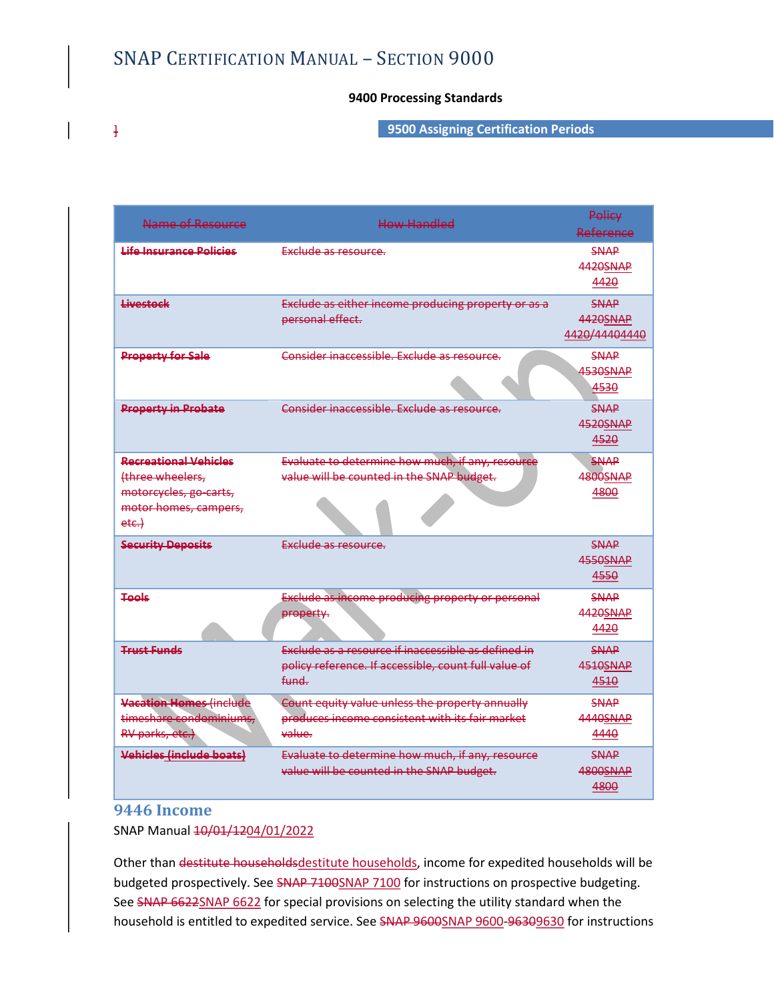# SNAP CERTIFICATION MANUAL – SECTION 9000<br>9400 Processing Standards<br>9500 Assigning Certification Period

# 9400 Processing Standards

] 9500 Assigning Certification Periods

| Name of Resource                                                                                                | <b>How Handled</b>                                                                                                   | <b>Policy</b><br>Reference               |
|-----------------------------------------------------------------------------------------------------------------|----------------------------------------------------------------------------------------------------------------------|------------------------------------------|
| <b>Life Insurance Policies</b>                                                                                  | Exclude as resource.                                                                                                 | <b>SNAP</b><br>4420SNAP<br>4420          |
| Livestock                                                                                                       | Exclude as either income producing property or as a<br>personal effect.                                              | <b>SNAP</b><br>4420SNAP<br>4420/44404440 |
| <b>Property for Sale</b>                                                                                        | Consider inaccessible. Exclude as resource.                                                                          | <b>SNAP</b><br>4530SNAP<br>4530          |
| <b>Property in Probate</b>                                                                                      | Consider inaccessible. Exclude as resource.                                                                          | SNAP<br>4520SNAP<br>4520                 |
| <b>Recreational Vehicles</b><br>(three wheelers,<br>motorcycles, go-carts,<br>motor homes, campers,<br>$etc.$ } | Evaluate to determine how much, if any, resource<br>value will be counted in the SNAP budget.                        | <b>SNAP</b><br><b>4800SNAP</b><br>4800   |
| <b>Security Deposits</b>                                                                                        | Exclude as resource.                                                                                                 | <b>SNAP</b><br><b>4550SNAP</b><br>4550   |
| Tools                                                                                                           | <b>Exclude as income producing property or personal</b><br>property.                                                 | <b>SNAP</b><br>4420SNAP<br>4420          |
| <b>Trust Funds</b>                                                                                              | Exclude as a resource if inaccessible as defined in<br>policy reference. If accessible, count full value of<br>fund. | <b>SNAP</b><br>4510SNAP<br>4510          |
| Vacation Homes (include<br>timeshare condominiums,<br>RV parks, etc.)                                           | Count equity value unless the property annually<br>produces income consistent with its fair market<br>value.         | SNAP<br>4440SNAP<br>4440                 |
| <b>Vehicles (include boats)</b>                                                                                 | Evaluate to determine how much, if any, resource<br>value will be counted in the SNAP budget.                        | <b>SNAP</b><br>4800SNAP<br>4800          |

# 9446 Income

SNAP Manual <del>10/01/1204/01/2022</del><br>Other than destitute householdsdestitute households, income for expedited households will be budgeted prospectively. See SNAP 7100SNAP 7100 for instructions on prospective budgeting. See SNAP 6622SNAP 6622 for special provisions on selecting the utility standard when the household is entitled to expedited service. See SNAP 9600SNAP 9600-96309630 for instructions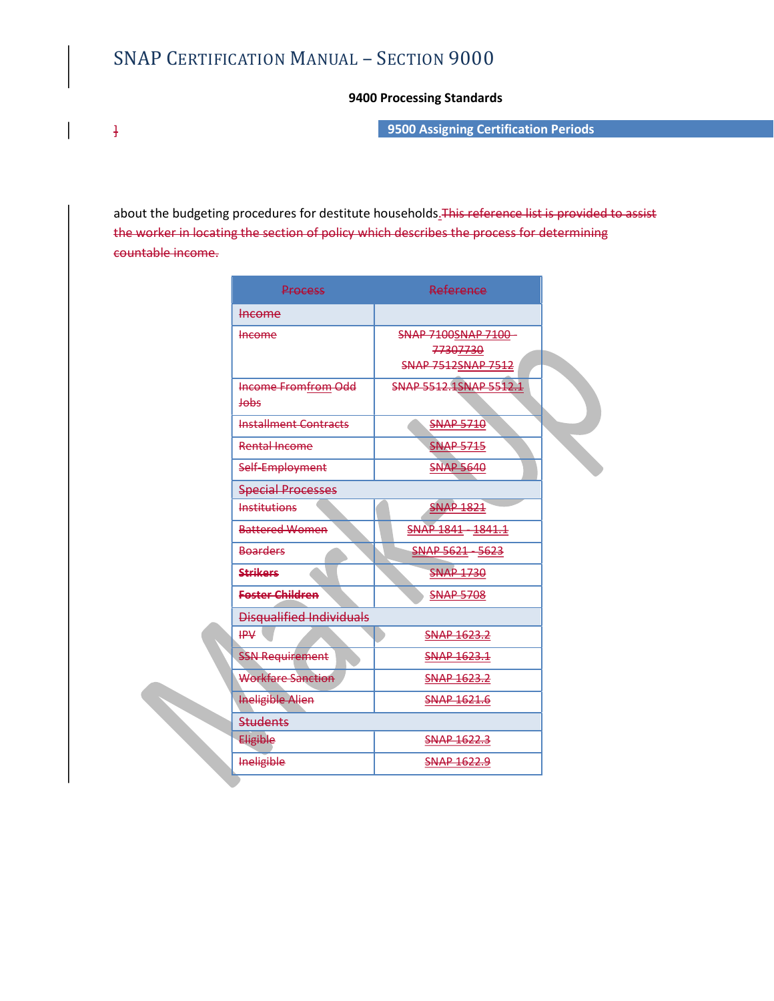# SNAP CERTIFICATION MANUAL – SECTION 9000<br>9400 Processing Standards<br>9500 Assigning Certification Period

] 9500 Assigning Certification Periods

about the budgeting procedures for destitute households. This reference list is provided to assist the worker in locating the section of policy which describes the process for determining countable income.

| FICATION MANUAL - SECTION 9000           |                                                                                                                                                             |
|------------------------------------------|-------------------------------------------------------------------------------------------------------------------------------------------------------------|
|                                          |                                                                                                                                                             |
|                                          | 9400 Processing Standards                                                                                                                                   |
|                                          | 9500 Assigning Certification Periods                                                                                                                        |
|                                          |                                                                                                                                                             |
|                                          |                                                                                                                                                             |
|                                          |                                                                                                                                                             |
|                                          | ng procedures for destitute households. This reference list is provided to assist<br>ting the section of policy which describes the process for determining |
|                                          |                                                                                                                                                             |
|                                          |                                                                                                                                                             |
| <b>Process</b>                           | Reference                                                                                                                                                   |
| <b>Income</b>                            |                                                                                                                                                             |
| <b>Income</b>                            | SNAP 7100SNAP 7100-                                                                                                                                         |
|                                          | 77307730<br><b>SNAP 7512SNAP 7512</b>                                                                                                                       |
| Income Fromfrom Odd                      | SNAP 5512.1SNAP 5512.1                                                                                                                                      |
| <b>Jobs</b>                              |                                                                                                                                                             |
| <b>Installment Contracts</b>             | <b>SNAP 5710</b>                                                                                                                                            |
| <b>Rental Income</b>                     | <b>SNAP 5715</b>                                                                                                                                            |
| Self-Employment                          | <b>SNAP 5640</b>                                                                                                                                            |
| <b>Special Processes</b>                 |                                                                                                                                                             |
| <b>Institutions</b>                      | <b>SNAP 1821</b>                                                                                                                                            |
| <b>Battered Women</b>                    | SNAP 1841 - 1841.1                                                                                                                                          |
| <b>Boarders</b>                          | SNAP 5621 - 5623                                                                                                                                            |
| <b>Strikers</b>                          | <b>SNAP 1730</b>                                                                                                                                            |
| Foster Children                          | <b>SNAP 5708</b>                                                                                                                                            |
| <b>Disqualified Individuals</b><br>$H^2$ | <b>SNAP 1623.2</b>                                                                                                                                          |
| <b>SSN Requirement</b>                   | SNAP 1623.1                                                                                                                                                 |
| <b>Workfare Sanction</b>                 | <b>SNAP 1623.2</b>                                                                                                                                          |
| <b>Ineligible Alien</b>                  | <b>SNAP 1621.6</b>                                                                                                                                          |
| <b>Students</b>                          |                                                                                                                                                             |
| Eligible                                 | <b>SNAP 1622.3</b>                                                                                                                                          |
| <b>Ineligible</b>                        | <b>SNAP 1622.9</b>                                                                                                                                          |
|                                          |                                                                                                                                                             |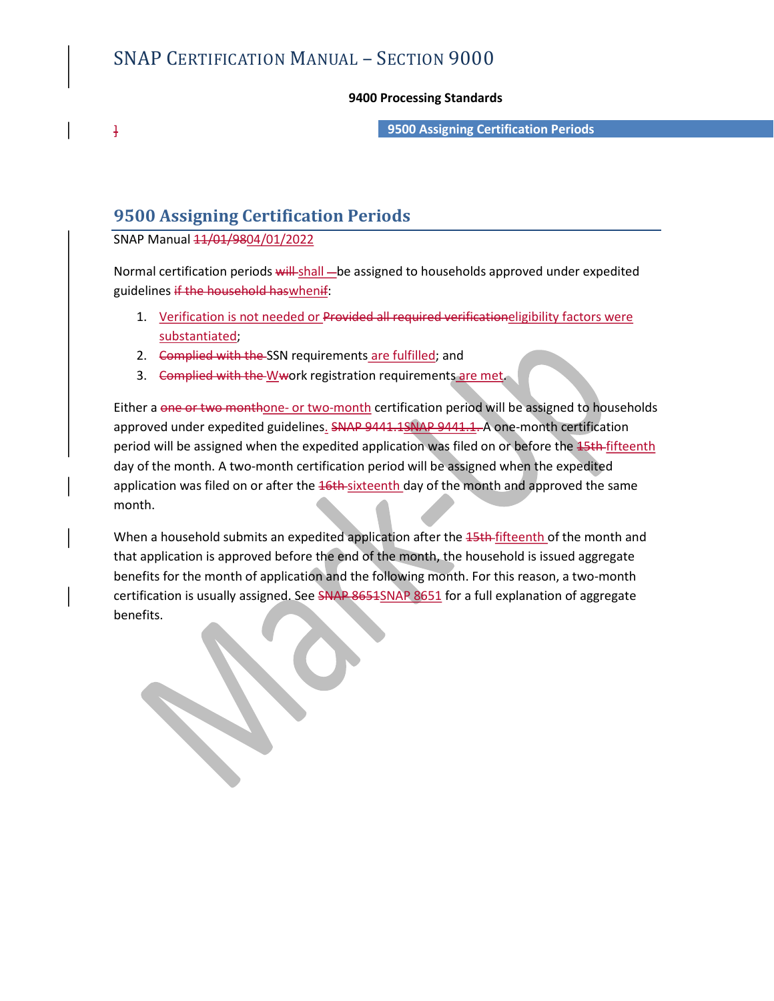# 9400 Processing Standards

] 9500 Assigning Certification Periods

# 9500 Assigning Certification Periods

SNAP Manual  $11/01/9804/01/2022$ 

Normal certification periods will shall - be assigned to households approved under expedited guidelines if the household haswhenif:

- 1. Verification is not needed or Provided all required verificationeligibility factors were substantiated;
- 2. Complied with the SSN requirements are fulfilled; and
- 

3. Complied with the Wwork registration requirements are met.<br>Either a one or two monthone- or two-month certification period will be assigned to households approved under expedited guidelines. SNAP 9441.1SNAP 9441.1. A one-month certification period will be assigned when the expedited application was filed on or before the 15th fifteenth day of the month. A two-month certification period will be assigned when the expedited application was filed on or after the 16th-sixteenth day of the month and approved the same month.

When a household submits an expedited application after the 45th-fifteenth of the month and that application is approved before the end of the month, the household is issued aggregate benefits for the month of application and the following month. For this reason, a two-month certification is usually assigned. See SNAP 8651SNAP 8651 for a full explanation of aggregate benefits.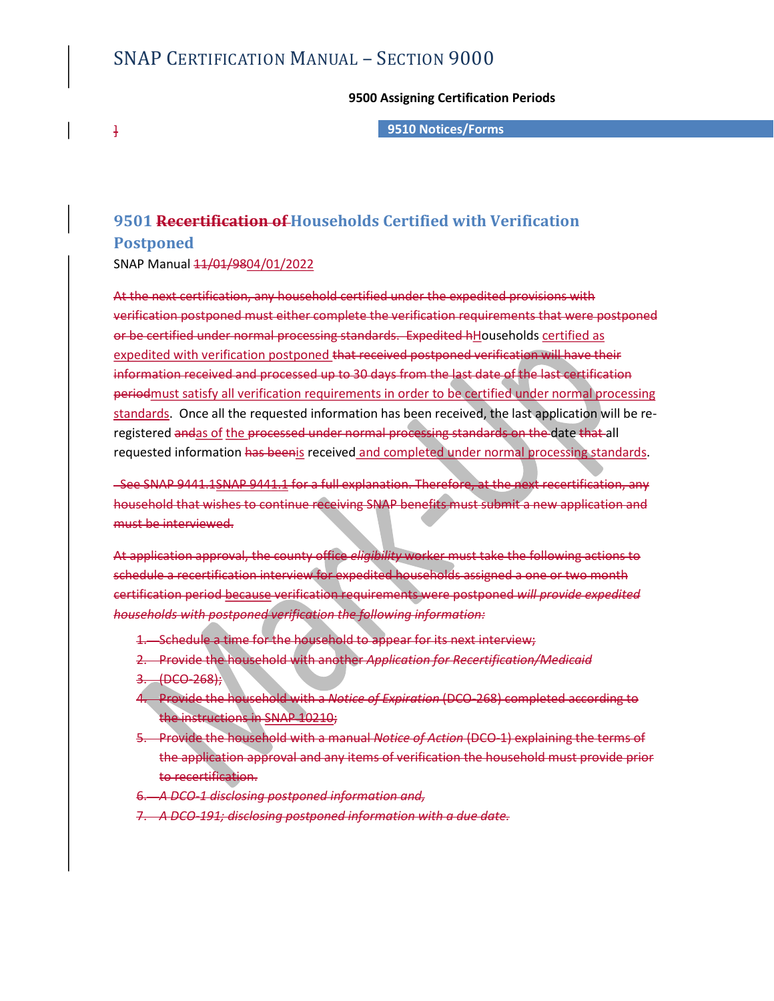# SNAP CERTIFICATION MANUAL – SECTION 9000<br>9500 Assigning Certification Periods<br>9510 Notices/Forms

## 9500 Assigning Certification Periods

] 9510 Notices/Forms

# SNAP CERTIFICATION MANUAL — SECTION 9000<br>9500 Assigning Certification Periods<br>9510 Notices/Forms<br>9501 Recertification of Households Certified with Verification<br>9610 Recertification of Households Certified with Verification

# Postponed

SNAP Manual  $11/01/9804/01/2022$ 

At the next certification, any household certified under the expedited provisions with verification postponed must either complete the verification requirements that were postponed SNAP CERTIFICATION MANUAL – SECTION 9000<br>
9500 Assigning Certification Periods<br>
9510 Notices/Forms<br>
9510 Notices/Forms<br>
9510 Necertification of Households Certified with Verification<br>
Postponed<br>
961 Recertification, any ho expedited with verification postponed that received postponed verification will have their information received and processed up to 30 days from the last date of the last certification periodmust satisfy all verification requirements in order to be certified under normal processing standards. Once all the requested information has been received, the last application will be reregistered andas of the processed under normal processing standards on the date that all requested information <del>has been</del>is received and completed under normal processing standards.<br>See SNAP 9441.1SNAP 9441.1 for a full explanation. Therefore, at the next recertification, any e certified under normal processing standards. Expedited hilouseholds <u>certified as</u><br>edited with verification postponed that received postponed verification will have their<br>mation received and processed up to 30 days from edited with verification postponed that received postponed verification will have their<br>transion received and processed up to 30 days from the last date of the last certification<br>dards. Satisfy all verification requirement

household that wishes to continue receiving SNAP benefits must submit a new application and must be interviewed.

At application approval, the county office *eligibility* worker must take the following actions to schedule a recertification interview for expedited households assigned a one or two month certification period because verification requirements were postponed will provide expedited households with postponed verification the following information:

- 
- 
- $3.$  (DCO-268);
- 4. Provide the household with a Notice of Expiration (DCO-268) completed according to the instructions in SNAP 10210;
- 5. Provide the household with a manual Notice of Action (DCO-1) explaining the terms of the application approval and any items of verification the household must provide prior to recertification.
- 6. A DCO-1 disclosing postponed information and,
- 7. A DCO-191; disclosing postponed information with a due date.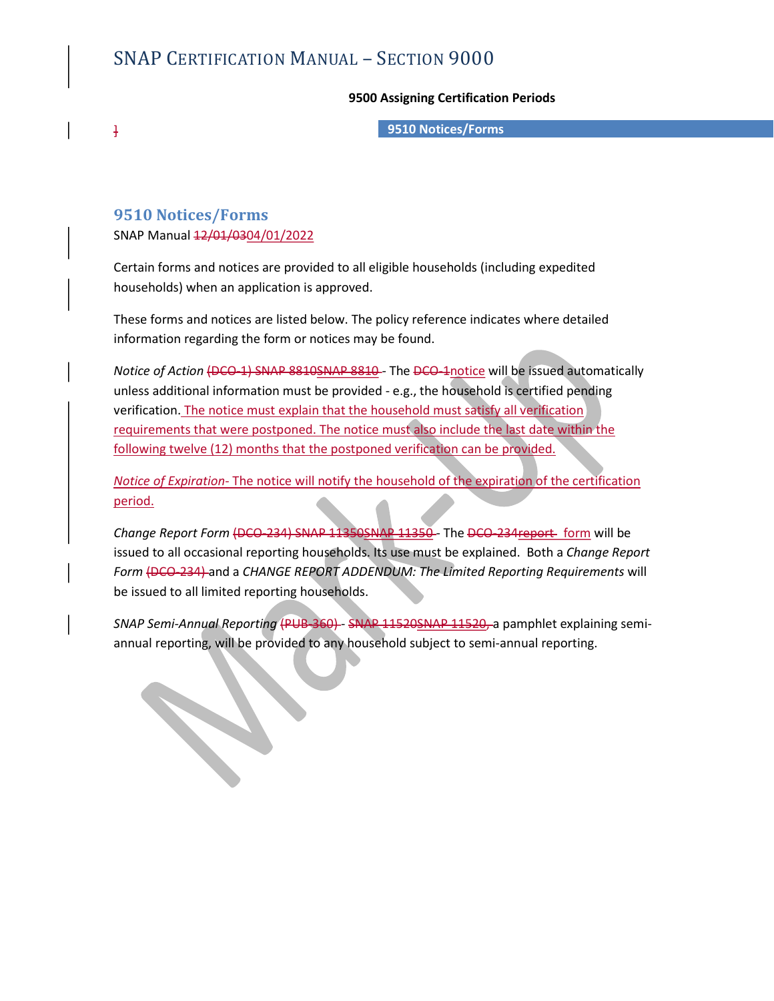# SNAP CERTIFICATION MANUAL – SECTION 9000<br>9500 Assigning Certification Periods<br>9510 Notices/Forms

## 9500 Assigning Certification Periods

] 9510 Notices/Forms

# 9510 Notices/Forms

SNAP Manual  $12/01/0304/01/2022$ 

 $\mathcal{L}$ 

Certain forms and notices are provided to all eligible households (including expedited households) when an application is approved.

These forms and notices are listed below. The policy reference indicates where detailed information regarding the form or notices may be found.

Notice of Action (DCO-1) SNAP 8810SNAP 8810 - The DCO-1notice will be issued automatically unless additional information must be provided - e.g., the household is certified pending verification. The notice must explain that the household must satisfy all verification requirements that were postponed. The notice must also include the last date within the following twelve (12) months that the postponed verification can be provided.

Notice of Expiration- The notice will notify the household of the expiration of the certification period.

Change Report Form (DCO-234) SNAP 11350SNAP 11350 - The DCO-234 report form will be issued to all occasional reporting households. Its use must be explained. Both a Change Report Form (DCO-234) and a CHANGE REPORT ADDENDUM: The Limited Reporting Requirements will be issued to all limited reporting households.

SNAP Semi-Annual Reporting (PUB-360) - SNAP 11520SNAP 11520, a pamphlet explaining semiannual reporting, will be provided to any household subject to semi-annual reporting.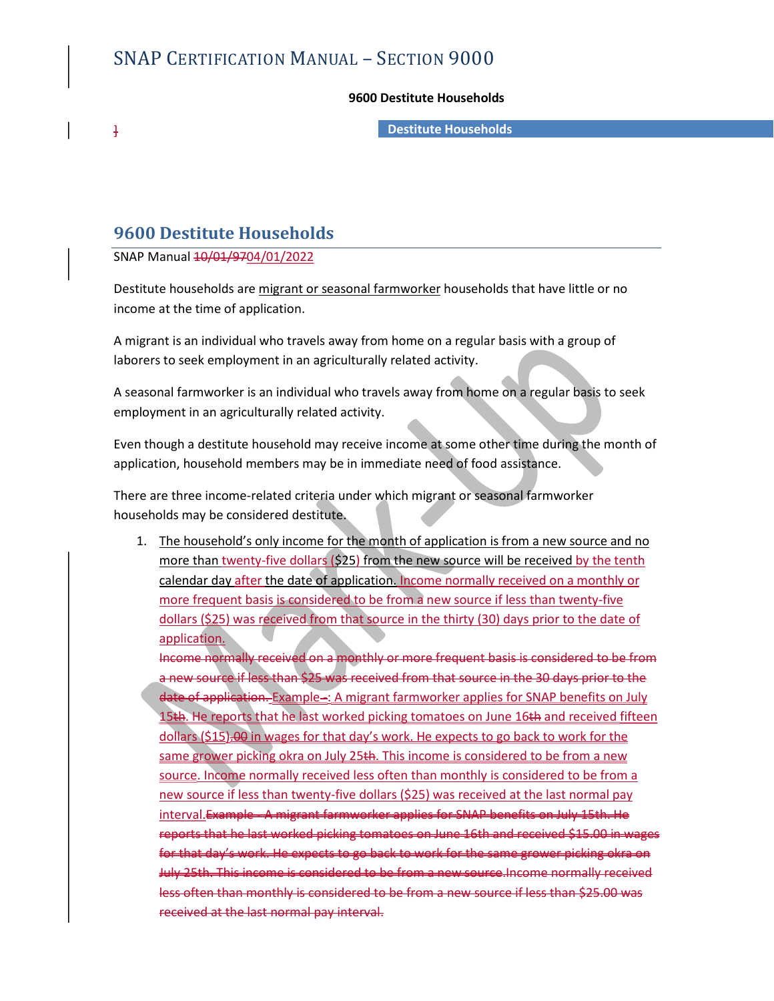## 9600 Destitute Households

] Destitute Households

# 9600 Destitute Households

SNAP Manual  $\frac{10}{01}$ /9704/01/2022

SNAP CERTIFICATION MANUAL – SECTION 9000<br>
9600 Destitute Households<br>
9600 Destitute Households<br>
SNAP Manual <del>10/01/9704/01/2022</del><br>
Destitute households are <u>migrant or seasonal farmworker</u> households that have little or no<br> income at the time of application.

A migrant is an individual who travels away from home on a regular basis with a group of laborers to seek employment in an agriculturally related activity.

A seasonal farmworker is an individual who travels away from home on a regular basis to seek employment in an agriculturally related activity.

Even though a destitute household may receive income at some other time during the month of application, household members may be in immediate need of food assistance.

There are three income-related criteria under which migrant or seasonal farmworker households may be considered destitute.

1. The household's only income for the month of application is from a new source and no more than twenty-five dollars (\$25) from the new source will be received by the tenth calendar day after the date of application. Income normally received on a monthly or more frequent basis is considered to be from a new source if less than twenty-five dollars (\$25) was received from that source in the thirty (30) days prior to the date of application.

Income normally received on a monthly or more frequent basis is considered to be from a new source if less than \$25 was received from that source in the 30 days prior to the date of application. Example -: A migrant farmworker applies for SNAP benefits on July 15th. He reports that he last worked picking tomatoes on June 16th and received fifteen dollars (\$15).00 in wages for that day's work. He expects to go back to work for the same grower picking okra on July 25th. This income is considered to be from a new source. Income normally received less often than monthly is considered to be from a new source if less than twenty-five dollars (\$25) was received at the last normal pay interval.Example - A migrant farmworker applies for SNAP benefits on July 15th. He reports that he last worked picking tomatoes on June 16th and received \$15.00 in wages for that day's work. He expects to go back to work for the same grower picking okra on July 25th. This income is considered to be from a new source.Income normally received less often than monthly is considered to be from a new source if less than \$25.00 was received at the last normal pay interval.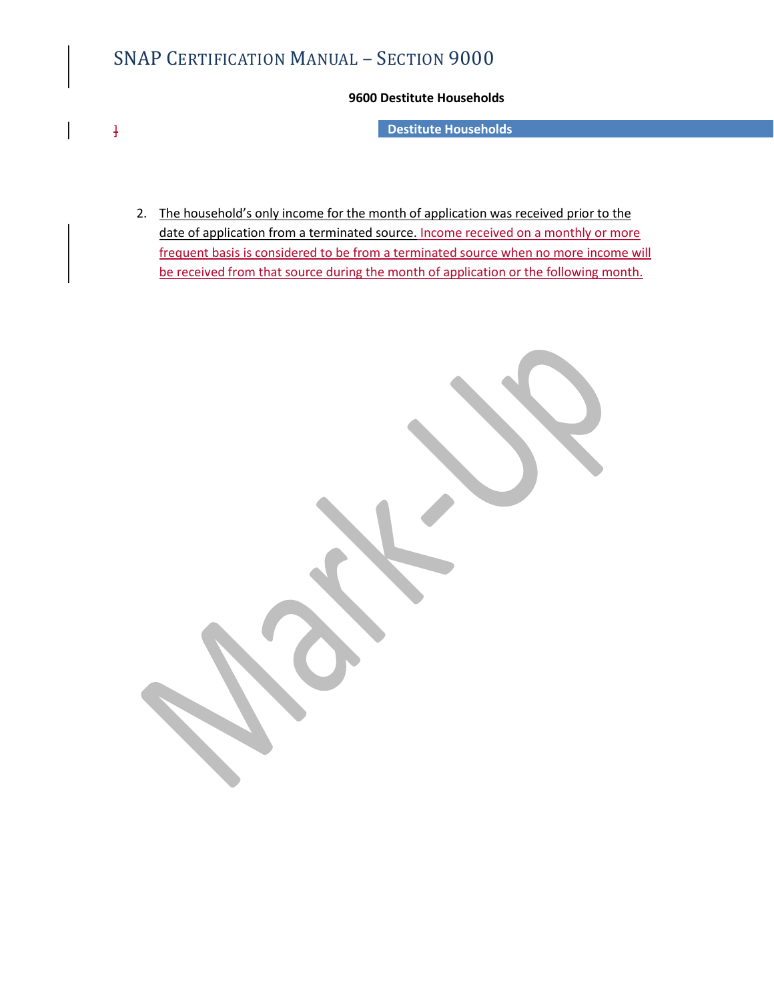# SNAP CERTIFICATION MANUAL – SECTION 9000<br>9600 Destitute Households<br>9600 Destitute Households<br>Pestitute Households

# 9600 Destitute Households

] Destitute Households

2. The household's only income for the month of application was received prior to the date of application from a terminated source. Income received on a monthly or more frequent basis is considered to be from a terminated source when no more income will **be received from MANUAL** – SECTION 9000<br>**9600 Destitute Households**<br>**Destitute Households**<br>**The household's only income for the month of application was received prior to the<br>date of application from a terminated source.** 

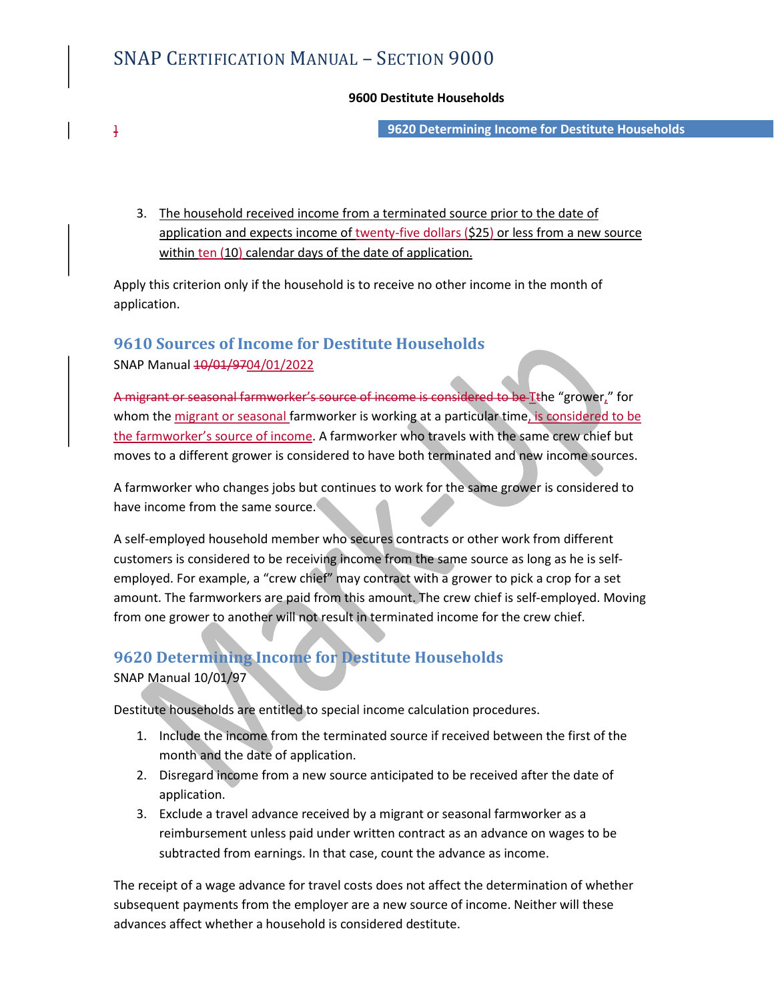# SNAP CERTIFICATION MANUAL – SECTION 9000<br>9600 Destitute Households<br>9620 Determining Income for Dest

# 9600 Destitute Households

] 9620 Determining Income for Destitute Households

3. The household received income from a terminated source prior to the date of application and expects income of twenty-five dollars (\$25) or less from a new source within ten (10) calendar days of the date of application.

Apply this criterion only if the household is to receive no other income in the month of application.

# 9610 Sources of Income for Destitute Households

SNAP Manual  $\frac{10}{01}/9704}{01}/2022$ 

A migrant or seasonal farmworker's source of income is considered to be Tthe "grower," for whom the migrant or seasonal farmworker is working at a particular time, is considered to be the farmworker's source of income. A farmworker who travels with the same crew chief but moves to a different grower is considered to have both terminated and new income sources.

A farmworker who changes jobs but continues to work for the same grower is considered to have income from the same source.

A self-employed household member who secures contracts or other work from different customers is considered to be receiving income from the same source as long as he is selfemployed. For example, a "crew chief" may contract with a grower to pick a crop for a set amount. The farmworkers are paid from this amount. The crew chief is self-employed. Moving from one grower to another will not result in terminated income for the crew chief.

# 9620 Determining Income for Destitute Households SNAP Manual 10/01/97

Destitute households are entitled to special income calculation procedures.

- 1. Include the income from the terminated source if received between the first of the month and the date of application.
- 2. Disregard income from a new source anticipated to be received after the date of application.
- 3. Exclude a travel advance received by a migrant or seasonal farmworker as a reimbursement unless paid under written contract as an advance on wages to be subtracted from earnings. In that case, count the advance as income.

The receipt of a wage advance for travel costs does not affect the determination of whether subsequent payments from the employer are a new source of income. Neither will these advances affect whether a household is considered destitute.